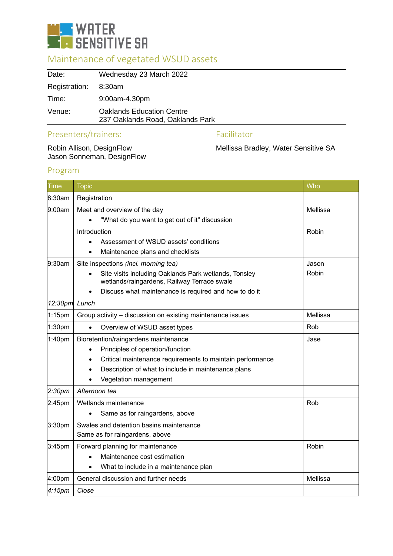

# Maintenance of vegetated WSUD assets

| Date:         | Wednesday 23 March 2022                                              |
|---------------|----------------------------------------------------------------------|
| Registration: | 8:30am                                                               |
| Time:         | $9:00$ am-4.30pm                                                     |
| Venue:        | <b>Oaklands Education Centre</b><br>237 Oaklands Road, Oaklands Park |
|               |                                                                      |

# Presenters/trainers: Facilitator

Robin Allison, DesignFlow<br>Jason Sonneman, DesignFlow

Mellissa Bradley, Water Sensitive SA

## Program

| <b>Time</b>        | <b>Topic</b>                                                                                                      | Who      |
|--------------------|-------------------------------------------------------------------------------------------------------------------|----------|
| 8:30am             | Registration                                                                                                      |          |
| 9:00am             | Meet and overview of the day                                                                                      | Mellissa |
|                    | "What do you want to get out of it" discussion                                                                    |          |
|                    | Introduction                                                                                                      | Robin    |
|                    | Assessment of WSUD assets' conditions                                                                             |          |
|                    | Maintenance plans and checklists                                                                                  |          |
| 9:30am             | Site inspections (incl. morning tea)                                                                              | Jason    |
|                    | Site visits including Oaklands Park wetlands, Tonsley<br>$\bullet$<br>wetlands/raingardens, Railway Terrace swale | Robin    |
|                    | Discuss what maintenance is required and how to do it<br>$\bullet$                                                |          |
| 12:30pm            | Lunch                                                                                                             |          |
| $1:15$ pm          | Group activity - discussion on existing maintenance issues                                                        | Mellissa |
| 1:30pm             | Overview of WSUD asset types                                                                                      | Rob      |
| 1:40 <sub>pm</sub> | Bioretention/raingardens maintenance                                                                              | Jase     |
|                    | Principles of operation/function<br>$\bullet$                                                                     |          |
|                    | Critical maintenance requirements to maintain performance<br>$\bullet$                                            |          |
|                    | Description of what to include in maintenance plans                                                               |          |
|                    | Vegetation management                                                                                             |          |
| 2:30 <sub>pm</sub> | Afternoon tea                                                                                                     |          |
| 2:45pm             | Wetlands maintenance                                                                                              | Rob      |
|                    | Same as for raingardens, above                                                                                    |          |
| 3:30pm             | Swales and detention basins maintenance                                                                           |          |
|                    | Same as for raingardens, above                                                                                    |          |
| 3:45pm             | Forward planning for maintenance                                                                                  | Robin    |
|                    | Maintenance cost estimation                                                                                       |          |
|                    | What to include in a maintenance plan                                                                             |          |
| 4:00pm             | General discussion and further needs                                                                              | Mellissa |
| 4:15 <sub>pm</sub> | Close                                                                                                             |          |